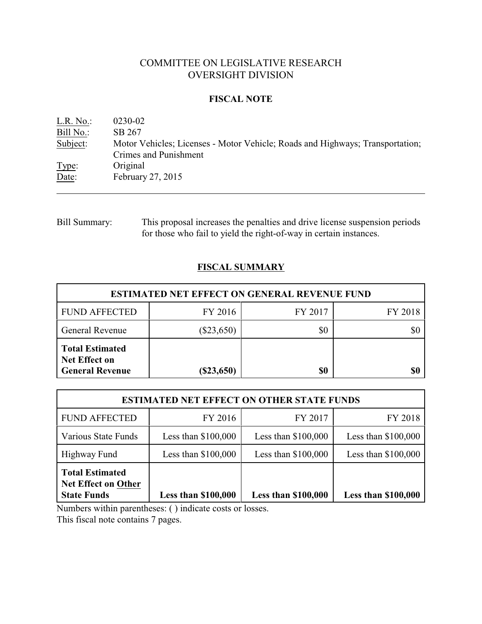# COMMITTEE ON LEGISLATIVE RESEARCH OVERSIGHT DIVISION

## **FISCAL NOTE**

| L.R. No.: | 0230-02                                                                                                |
|-----------|--------------------------------------------------------------------------------------------------------|
| Bill No.: | SB 267                                                                                                 |
| Subject:  | Motor Vehicles; Licenses - Motor Vehicle; Roads and Highways; Transportation;<br>Crimes and Punishment |
| Type:     | Original                                                                                               |
| Date:     | February 27, 2015                                                                                      |

Bill Summary: This proposal increases the penalties and drive license suspension periods for those who fail to yield the right-of-way in certain instances.

# **FISCAL SUMMARY**

| <b>ESTIMATED NET EFFECT ON GENERAL REVENUE FUND</b>                      |              |         |         |  |  |
|--------------------------------------------------------------------------|--------------|---------|---------|--|--|
| <b>FUND AFFECTED</b>                                                     | FY 2016      | FY 2017 | FY 2018 |  |  |
| <b>General Revenue</b>                                                   | $(\$23,650)$ | \$0     |         |  |  |
| <b>Total Estimated</b><br><b>Net Effect on</b><br><b>General Revenue</b> | $(\$23,650)$ | \$0     |         |  |  |

| <b>ESTIMATED NET EFFECT ON OTHER STATE FUNDS</b>                           |                            |                            |                            |  |  |
|----------------------------------------------------------------------------|----------------------------|----------------------------|----------------------------|--|--|
| <b>FUND AFFECTED</b>                                                       | FY 2016                    | FY 2017                    | FY 2018                    |  |  |
| Various State Funds                                                        | Less than $$100,000$       | Less than $$100,000$       | Less than $$100,000$       |  |  |
| Highway Fund                                                               | Less than $$100,000$       | Less than $$100,000$       | Less than $$100,000$       |  |  |
| <b>Total Estimated</b><br><b>Net Effect on Other</b><br><b>State Funds</b> | <b>Less than \$100,000</b> | <b>Less than \$100,000</b> | <b>Less than \$100,000</b> |  |  |

Numbers within parentheses: ( ) indicate costs or losses.

This fiscal note contains 7 pages.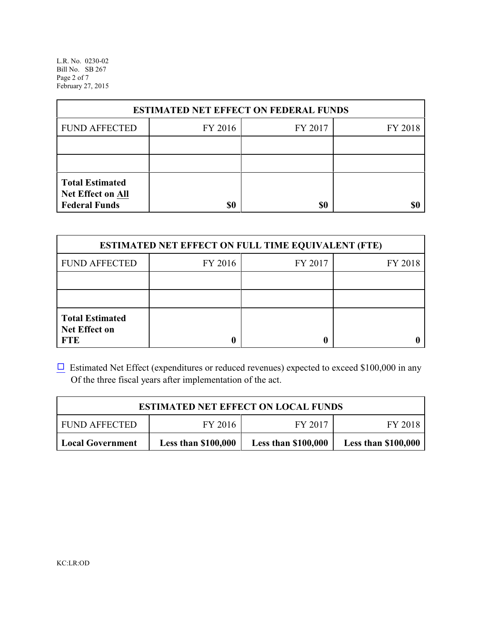L.R. No. 0230-02 Bill No. SB 267 Page 2 of 7 February 27, 2015

| <b>ESTIMATED NET EFFECT ON FEDERAL FUNDS</b>                                      |         |         |         |  |  |
|-----------------------------------------------------------------------------------|---------|---------|---------|--|--|
| <b>FUND AFFECTED</b>                                                              | FY 2016 | FY 2017 | FY 2018 |  |  |
|                                                                                   |         |         |         |  |  |
|                                                                                   |         |         |         |  |  |
| <b>Total Estimated</b><br>Net Effect on All<br><b>Federal Funds</b><br>\$0<br>\$0 |         |         |         |  |  |

| <b>ESTIMATED NET EFFECT ON FULL TIME EQUIVALENT (FTE)</b>    |         |         |         |  |  |
|--------------------------------------------------------------|---------|---------|---------|--|--|
| <b>FUND AFFECTED</b>                                         | FY 2016 | FY 2017 | FY 2018 |  |  |
|                                                              |         |         |         |  |  |
|                                                              |         |         |         |  |  |
| <b>Total Estimated</b><br><b>Net Effect on</b><br><b>FTE</b> |         |         |         |  |  |

 $\Box$  Estimated Net Effect (expenditures or reduced revenues) expected to exceed \$100,000 in any Of the three fiscal years after implementation of the act.

| <b>ESTIMATED NET EFFECT ON LOCAL FUNDS</b>                                                                        |  |  |  |  |  |
|-------------------------------------------------------------------------------------------------------------------|--|--|--|--|--|
| FY 2017<br>FY 2016<br><b>FUND AFFECTED</b><br>FY 2018                                                             |  |  |  |  |  |
| <b>Less than \$100,000</b><br><b>Less than \$100,000</b><br><b>Less than \$100,000</b><br><b>Local Government</b> |  |  |  |  |  |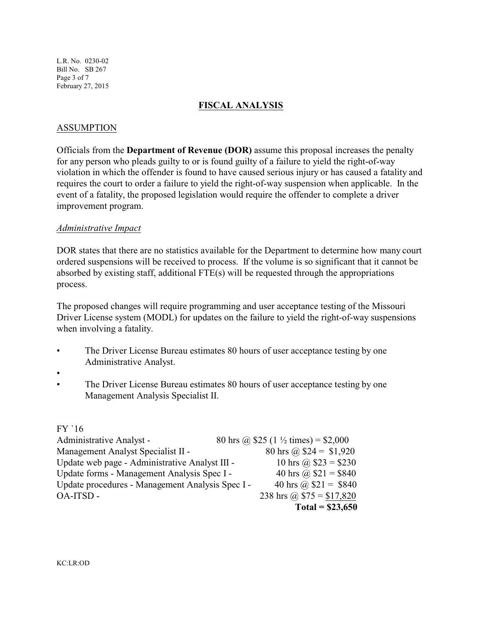L.R. No. 0230-02 Bill No. SB 267 Page 3 of 7 February 27, 2015

## **FISCAL ANALYSIS**

## ASSUMPTION

Officials from the **Department of Revenue (DOR)** assume this proposal increases the penalty for any person who pleads guilty to or is found guilty of a failure to yield the right-of-way violation in which the offender is found to have caused serious injury or has caused a fatality and requires the court to order a failure to yield the right-of-way suspension when applicable. In the event of a fatality, the proposed legislation would require the offender to complete a driver improvement program.

#### *Administrative Impact*

DOR states that there are no statistics available for the Department to determine how many court ordered suspensions will be received to process. If the volume is so significant that it cannot be absorbed by existing staff, additional FTE(s) will be requested through the appropriations process.

The proposed changes will require programming and user acceptance testing of the Missouri Driver License system (MODL) for updates on the failure to yield the right-of-way suspensions when involving a fatality.

- The Driver License Bureau estimates 80 hours of user acceptance testing by one Administrative Analyst.
- •
- The Driver License Bureau estimates 80 hours of user acceptance testing by one Management Analysis Specialist II.

#### FY `16

| Administrative Analyst -                         | 80 hrs @ \$25 (1 $\frac{1}{2}$ times) = \$2,000 |
|--------------------------------------------------|-------------------------------------------------|
| Management Analyst Specialist II -               | 80 hrs @ $$24 = $1,920$                         |
| Update web page - Administrative Analyst III -   | 10 hrs @ $$23 = $230$                           |
| Update forms - Management Analysis Spec I -      | 40 hrs @ $$21 = $840$                           |
| Update procedures - Management Analysis Spec I - | 40 hrs @ $$21 = $840$                           |
| OA-ITSD -                                        | 238 hrs @ $$75 = $17,820$                       |
|                                                  | Total = $$23,650$                               |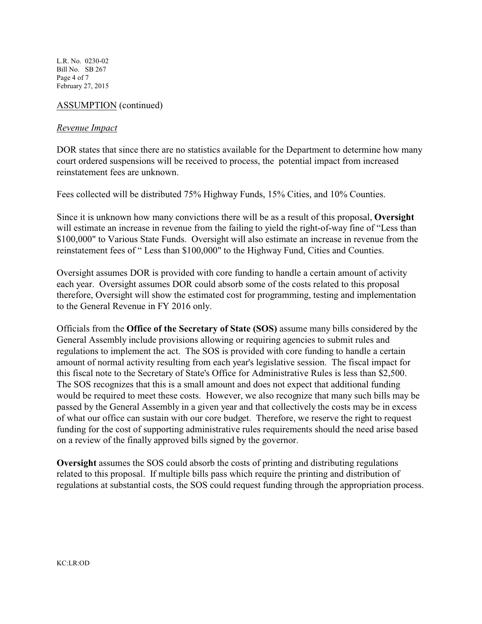L.R. No. 0230-02 Bill No. SB 267 Page 4 of 7 February 27, 2015

## ASSUMPTION (continued)

#### *Revenue Impact*

DOR states that since there are no statistics available for the Department to determine how many court ordered suspensions will be received to process, the potential impact from increased reinstatement fees are unknown.

Fees collected will be distributed 75% Highway Funds, 15% Cities, and 10% Counties.

Since it is unknown how many convictions there will be as a result of this proposal, **Oversight** will estimate an increase in revenue from the failing to yield the right-of-way fine of "Less than \$100,000" to Various State Funds. Oversight will also estimate an increase in revenue from the reinstatement fees of " Less than \$100,000" to the Highway Fund, Cities and Counties.

Oversight assumes DOR is provided with core funding to handle a certain amount of activity each year. Oversight assumes DOR could absorb some of the costs related to this proposal therefore, Oversight will show the estimated cost for programming, testing and implementation to the General Revenue in FY 2016 only.

Officials from the **Office of the Secretary of State (SOS)** assume many bills considered by the General Assembly include provisions allowing or requiring agencies to submit rules and regulations to implement the act. The SOS is provided with core funding to handle a certain amount of normal activity resulting from each year's legislative session. The fiscal impact for this fiscal note to the Secretary of State's Office for Administrative Rules is less than \$2,500. The SOS recognizes that this is a small amount and does not expect that additional funding would be required to meet these costs. However, we also recognize that many such bills may be passed by the General Assembly in a given year and that collectively the costs may be in excess of what our office can sustain with our core budget. Therefore, we reserve the right to request funding for the cost of supporting administrative rules requirements should the need arise based on a review of the finally approved bills signed by the governor.

**Oversight** assumes the SOS could absorb the costs of printing and distributing regulations related to this proposal. If multiple bills pass which require the printing and distribution of regulations at substantial costs, the SOS could request funding through the appropriation process.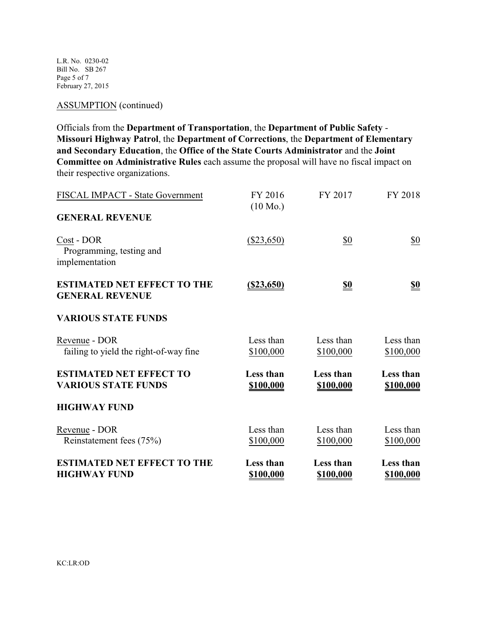L.R. No. 0230-02 Bill No. SB 267 Page 5 of 7 February 27, 2015

#### ASSUMPTION (continued)

Officials from the **Department of Transportation**, the **Department of Public Safety** - **Missouri Highway Patrol**, the **Department of Corrections**, the **Department of Elementary and Secondary Education**, the **Office of the State Courts Administrator** and the **Joint Committee on Administrative Rules** each assume the proposal will have no fiscal impact on their respective organizations.

| FISCAL IMPACT - State Government                             | FY 2016<br>$(10 \text{ Mo.})$ | FY 2017                       | FY 2018                |
|--------------------------------------------------------------|-------------------------------|-------------------------------|------------------------|
| <b>GENERAL REVENUE</b>                                       |                               |                               |                        |
| Cost - DOR<br>Programming, testing and<br>implementation     | $(\$23,650)$                  | $\underline{\$0}$             | $\underline{\$0}$      |
| <b>ESTIMATED NET EFFECT TO THE</b><br><b>GENERAL REVENUE</b> | $($ \$23,650)                 | <u>\$0</u>                    | <u>\$0</u>             |
| <b>VARIOUS STATE FUNDS</b>                                   |                               |                               |                        |
| Revenue - DOR<br>failing to yield the right-of-way fine      | Less than<br>\$100,000        | Less than<br>\$100,000        | Less than<br>\$100,000 |
| <b>ESTIMATED NET EFFECT TO</b><br><b>VARIOUS STATE FUNDS</b> | Less than<br>\$100,000        | Less than<br>\$100,000        | Less than<br>\$100,000 |
| <b>HIGHWAY FUND</b>                                          |                               |                               |                        |
| Revenue - DOR<br>Reinstatement fees (75%)                    | Less than<br>\$100,000        | Less than<br>\$100,000        | Less than<br>\$100,000 |
| <b>ESTIMATED NET EFFECT TO THE</b><br><b>HIGHWAY FUND</b>    | Less than<br>\$100,000        | <b>Less than</b><br>\$100,000 | Less than<br>\$100,000 |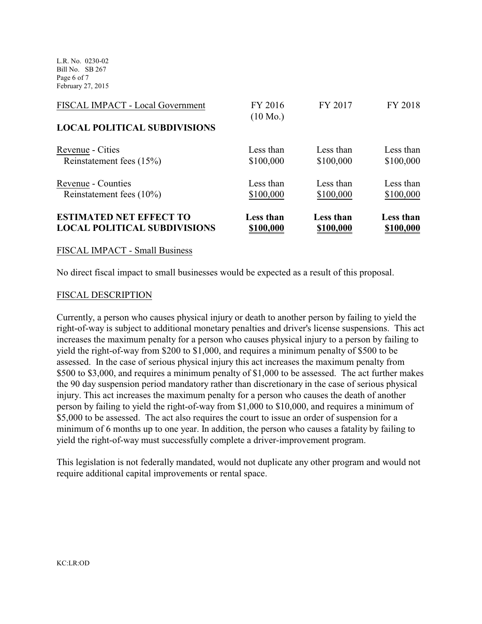L.R. No. 0230-02 Bill No. SB 267 Page 6 of 7 February 27, 2015

| <b>ESTIMATED NET EFFECT TO</b><br><b>LOCAL POLITICAL SUBDIVISIONS</b> | Less than<br>\$100,000        | Less than<br>\$100,000 | Less than<br>\$100,000 |
|-----------------------------------------------------------------------|-------------------------------|------------------------|------------------------|
| Reinstatement fees $(10\%)$                                           | \$100,000                     | \$100,000              | \$100,000              |
| Revenue - Counties                                                    | Less than                     | Less than              | Less than              |
| Reinstatement fees (15%)                                              | \$100,000                     | \$100,000              | \$100,000              |
| Revenue - Cities                                                      | Less than                     | Less than              | Less than              |
| <b>LOCAL POLITICAL SUBDIVISIONS</b>                                   |                               |                        |                        |
| FISCAL IMPACT - Local Government                                      | FY 2016<br>$(10 \text{ Mo.})$ | FY 2017                | FY 2018                |
|                                                                       |                               |                        |                        |

#### FISCAL IMPACT - Small Business

No direct fiscal impact to small businesses would be expected as a result of this proposal.

#### FISCAL DESCRIPTION

Currently, a person who causes physical injury or death to another person by failing to yield the right-of-way is subject to additional monetary penalties and driver's license suspensions. This act increases the maximum penalty for a person who causes physical injury to a person by failing to yield the right-of-way from \$200 to \$1,000, and requires a minimum penalty of \$500 to be assessed. In the case of serious physical injury this act increases the maximum penalty from \$500 to \$3,000, and requires a minimum penalty of \$1,000 to be assessed. The act further makes the 90 day suspension period mandatory rather than discretionary in the case of serious physical injury. This act increases the maximum penalty for a person who causes the death of another person by failing to yield the right-of-way from \$1,000 to \$10,000, and requires a minimum of \$5,000 to be assessed. The act also requires the court to issue an order of suspension for a minimum of 6 months up to one year. In addition, the person who causes a fatality by failing to yield the right-of-way must successfully complete a driver-improvement program.

This legislation is not federally mandated, would not duplicate any other program and would not require additional capital improvements or rental space.